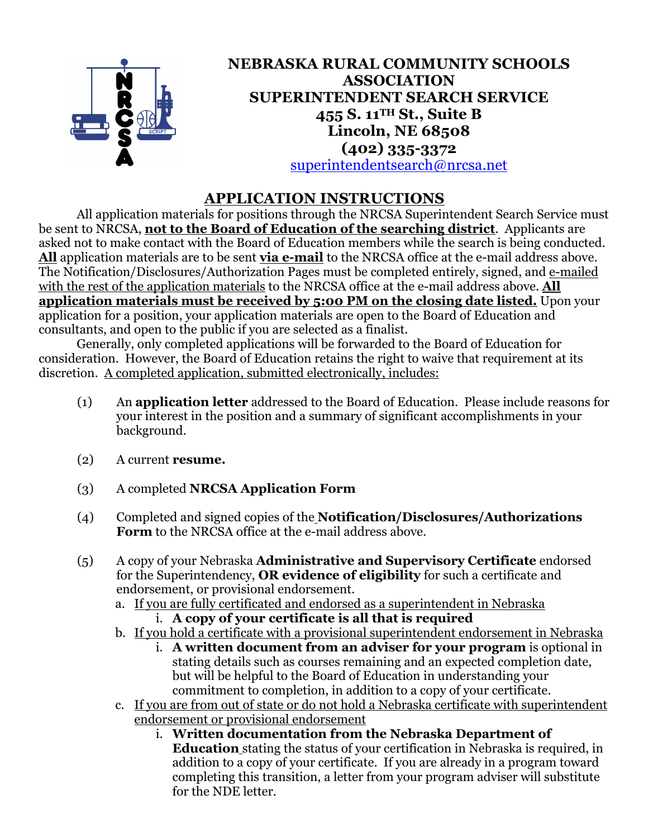

### **NEBRASKA RURAL COMMUNITY SCHOOLS ASSOCIATION SUPERINTENDENT SEARCH SERVICE 455 S. 11TH St., Suite B Lincoln, NE 68508 (402) 335-3372** superintendentsearch@nrcsa.net

# **APPLICATION INSTRUCTIONS**

All application materials for positions through the NRCSA Superintendent Search Service must be sent to NRCSA, **not to the Board of Education of the searching district**. Applicants are asked not to make contact with the Board of Education members while the search is being conducted. **All** application materials are to be sent **via e-mail** to the NRCSA office at the e-mail address above. The Notification/Disclosures/Authorization Pages must be completed entirely, signed, and e-mailed with the rest of the application materials to the NRCSA office at the e-mail address above. **All application materials must be received by 5:00 PM on the closing date listed.** Upon your application for a position, your application materials are open to the Board of Education and consultants, and open to the public if you are selected as a finalist.

Generally, only completed applications will be forwarded to the Board of Education for consideration. However, the Board of Education retains the right to waive that requirement at its discretion. A completed application, submitted electronically, includes:

- (1) An **application letter** addressed to the Board of Education. Please include reasons for your interest in the position and a summary of significant accomplishments in your background.
- (2) A current **resume.**
- (3) A completed **NRCSA Application Form**
- (4) Completed and signed copies of the **Notification/Disclosures/Authorizations Form** to the NRCSA office at the e-mail address above.
- (5) A copy of your Nebraska **Administrative and Supervisory Certificate** endorsed for the Superintendency, **OR evidence of eligibility** for such a certificate and endorsement, or provisional endorsement.
	- a. If you are fully certificated and endorsed as a superintendent in Nebraska i. **A copy of your certificate is all that is required**
	- b. If you hold a certificate with a provisional superintendent endorsement in Nebraska
		- i. **A written document from an adviser for your program** is optional in stating details such as courses remaining and an expected completion date, but will be helpful to the Board of Education in understanding your commitment to completion, in addition to a copy of your certificate.
	- c. If you are from out of state or do not hold a Nebraska certificate with superintendent endorsement or provisional endorsement
		- i. **Written documentation from the Nebraska Department of Education** stating the status of your certification in Nebraska is required, in addition to a copy of your certificate. If you are already in a program toward completing this transition, a letter from your program adviser will substitute for the NDE letter.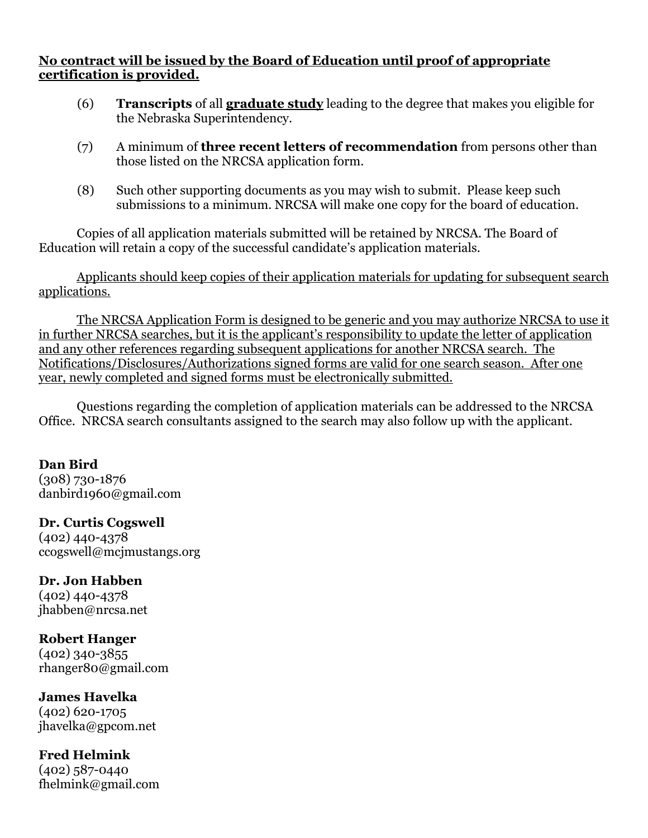#### **No contract will be issued by the Board of Education until proof of appropriate certification is provided.**

- (6) **Transcripts** of all **graduate study** leading to the degree that makes you eligible for the Nebraska Superintendency.
- (7) A minimum of **three recent letters of recommendation** from persons other than those listed on the NRCSA application form.
- (8) Such other supporting documents as you may wish to submit. Please keep such submissions to a minimum. NRCSA will make one copy for the board of education.

Copies of all application materials submitted will be retained by NRCSA. The Board of Education will retain a copy of the successful candidate's application materials.

Applicants should keep copies of their application materials for updating for subsequent search applications.

The NRCSA Application Form is designed to be generic and you may authorize NRCSA to use it in further NRCSA searches, but it is the applicant's responsibility to update the letter of application and any other references regarding subsequent applications for another NRCSA search. The Notifications/Disclosures/Authorizations signed forms are valid for one search season. After one year, newly completed and signed forms must be electronically submitted.

Questions regarding the completion of application materials can be addressed to the NRCSA Office. NRCSA search consultants assigned to the search may also follow up with the applicant.

**Dan Bird** (308) 730-1876 danbird1960@gmail.com

**Dr. Curtis Cogswell** (402) 440-4378 ccogswell@mcjmustangs.org

**Dr. Jon Habben** (402) 440-4378 jhabben@nrcsa.net

**Robert Hanger** (402) 340-3855 rhanger80@gmail.com

**James Havelka** (402) 620-1705 jhavelka@gpcom.net

**Fred Helmink** (402) 587-0440 fhelmink@gmail.com